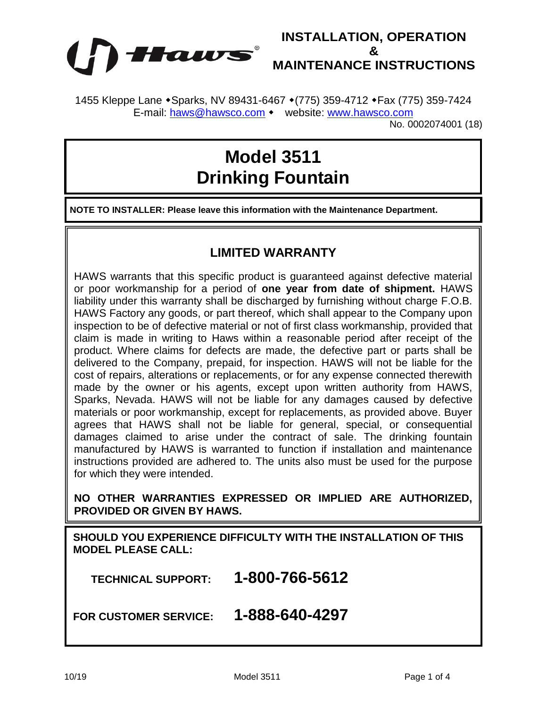

## **INSTALLATION, OPERATION & MAINTENANCE INSTRUCTIONS**

1455 Kleppe Lane • Sparks, NV 89431-6467 • (775) 359-4712 • Fax (775) 359-7424 E-mail: [haws@hawsco.com](mailto:haws@hawsco.com) • website: [www.hawsco.com](http://www.hawsco.com/)

No. 0002074001 (18)

## **Model 3511 Drinking Fountain**

**NOTE TO INSTALLER: Please leave this information with the Maintenance Department.**

## **LIMITED WARRANTY**

HAWS warrants that this specific product is guaranteed against defective material or poor workmanship for a period of **one year from date of shipment.** HAWS liability under this warranty shall be discharged by furnishing without charge F.O.B. HAWS Factory any goods, or part thereof, which shall appear to the Company upon inspection to be of defective material or not of first class workmanship, provided that claim is made in writing to Haws within a reasonable period after receipt of the product. Where claims for defects are made, the defective part or parts shall be delivered to the Company, prepaid, for inspection. HAWS will not be liable for the cost of repairs, alterations or replacements, or for any expense connected therewith made by the owner or his agents, except upon written authority from HAWS, Sparks, Nevada. HAWS will not be liable for any damages caused by defective materials or poor workmanship, except for replacements, as provided above. Buyer agrees that HAWS shall not be liable for general, special, or consequential damages claimed to arise under the contract of sale. The drinking fountain manufactured by HAWS is warranted to function if installation and maintenance instructions provided are adhered to. The units also must be used for the purpose for which they were intended.

**NO OTHER WARRANTIES EXPRESSED OR IMPLIED ARE AUTHORIZED, PROVIDED OR GIVEN BY HAWS.**

**SHOULD YOU EXPERIENCE DIFFICULTY WITH THE INSTALLATION OF THIS MODEL PLEASE CALL:**

 **TECHNICAL SUPPORT: 1-800-766-5612**

**FOR CUSTOMER SERVICE: 1-888-640-4297**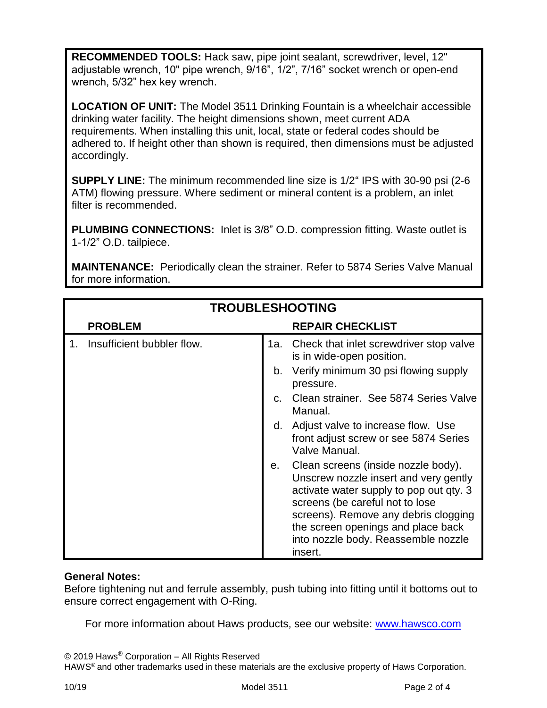**RECOMMENDED TOOLS:** Hack saw, pipe joint sealant, screwdriver, level, 12" adjustable wrench, 10" pipe wrench, 9/16", 1/2", 7/16" socket wrench or open-end wrench, 5/32" hex key wrench.

**LOCATION OF UNIT:** The Model 3511 Drinking Fountain is a wheelchair accessible drinking water facility. The height dimensions shown, meet current ADA requirements. When installing this unit, local, state or federal codes should be adhered to. If height other than shown is required, then dimensions must be adjusted accordingly.

**SUPPLY LINE:** The minimum recommended line size is 1/2" IPS with 30-90 psi (2-6 ATM) flowing pressure. Where sediment or mineral content is a problem, an inlet filter is recommended.

**PLUMBING CONNECTIONS:** Inlet is 3/8" O.D. compression fitting. Waste outlet is 1-1/2" O.D. tailpiece.

**MAINTENANCE:** Periodically clean the strainer. Refer to 5874 Series Valve Manual for more information.

| <b>TROUBLESHOOTING</b> |                            |             |                                                                                                                                                                                                                                                                                            |
|------------------------|----------------------------|-------------|--------------------------------------------------------------------------------------------------------------------------------------------------------------------------------------------------------------------------------------------------------------------------------------------|
|                        | <b>PROBLEM</b>             |             | <b>REPAIR CHECKLIST</b>                                                                                                                                                                                                                                                                    |
|                        | Insufficient bubbler flow. |             | 1a. Check that inlet screwdriver stop valve<br>is in wide-open position.                                                                                                                                                                                                                   |
|                        |                            | b.          | Verify minimum 30 psi flowing supply<br>pressure.                                                                                                                                                                                                                                          |
|                        |                            | $C_{\cdot}$ | Clean strainer. See 5874 Series Valve<br>Manual.                                                                                                                                                                                                                                           |
|                        |                            | d.          | Adjust valve to increase flow. Use<br>front adjust screw or see 5874 Series<br>Valve Manual.                                                                                                                                                                                               |
|                        |                            | е.          | Clean screens (inside nozzle body).<br>Unscrew nozzle insert and very gently<br>activate water supply to pop out qty. 3<br>screens (be careful not to lose<br>screens). Remove any debris clogging<br>the screen openings and place back<br>into nozzle body. Reassemble nozzle<br>insert. |

## **General Notes:**

Before tightening nut and ferrule assembly, push tubing into fitting until it bottoms out to ensure correct engagement with O-Ring.

For more information about Haws products, see our website: [www.hawsco.com](http://www.hawsco.com/)

© 2019 Haws® Corporation – All Rights Reserved

HAWS® and other trademarks used in these materials are the exclusive property of Haws Corporation.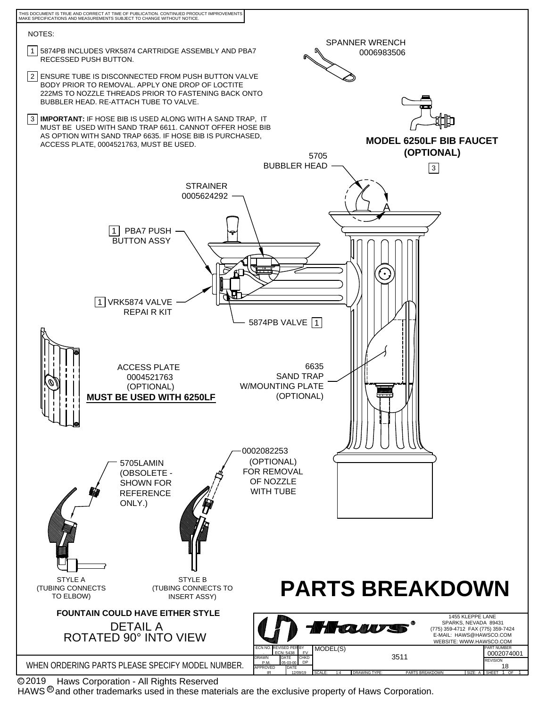

 Haws Corporation - All Rights Reserved C 2019

HAWS  $^{\circledR}$  and other trademarks used in these materials are the exclusive property of Haws Corporation.